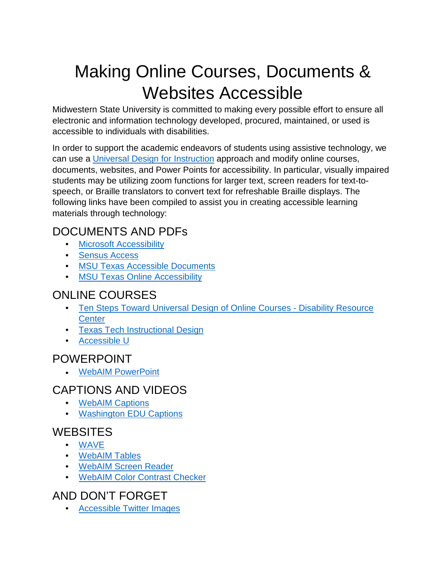# Making Online Courses, Documents & Websites Accessible

Midwestern State University is committed to making every possible effort to ensure all electronic and information technology developed, procured, maintained, or used is accessible to individuals with disabilities.

In order to support the academic endeavors of students using assistive technology, we can use a [Universal Design for Instruction](https://www.washington.edu/doit/programs/center-universal-design-education/overview) approach and modify online courses, documents, websites, and Power Points for accessibility. In particular, visually impaired students may be utilizing zoom functions for larger text, screen readers for text-tospeech, or Braille translators to convert text for refreshable Braille displays. The following links have been compiled to assist you in creating accessible learning materials through technology:

# DOCUMENTS AND PDFs

- [Microsoft Accessibility](https://www.microsoft.com/en-us/accessibility/)
- [Sensus Access](http://www.sensusaccess.com/)
- [MSU Texas Accessible Documents](https://msutexas.edu/Assets/documents/student-life/disability/6.1-CREATING-AN-ACCESSIBLE-DOCUMENT.pdf)
- [MSU Texas Online Accessibility](https://msutexas.edu/distance/online-accessibility.php)

## ONLINE COURSES

- [Ten Steps Toward Universal Design of Online Courses Disability Resource](http://ualr.edu/disability/online-education/)  **[Center](http://ualr.edu/disability/online-education/)**
- [Texas Tech Instructional Design](https://www.depts.ttu.edu/elearning/production/index.php)
- [Accessible U](https://accessibility.umn.edu/)

#### POWERPOINT

• [WebAIM PowerPoint](https://webaim.org/techniques/powerpoint/)

## CAPTIONS AND VIDEOS

- [WebAIM Captions](https://webaim.org/techniques/captions/)
- [Washington EDU Captions](http://www.washington.edu/doit/videos/index.php?vid=59)

#### **WEBSITES**

- [WAVE](http://wave.webaim.org/)
- [WebAIM Tables](http://webaim.org/techniques/tables/data)
- [WebAIM Screen Reader](http://webaim.org/techniques/screenreader/)
- [WebAIM Color Contrast Checker](http://webaim.org/resources/contrastchecker/)

## AND DON'T FORGET

• [Accessible Twitter Images](https://mwsu.edu/Assets/documents/student-life/disability/Making-images-accessible-for-people-on-Twitter_Twitter-Help-Center.pdf)